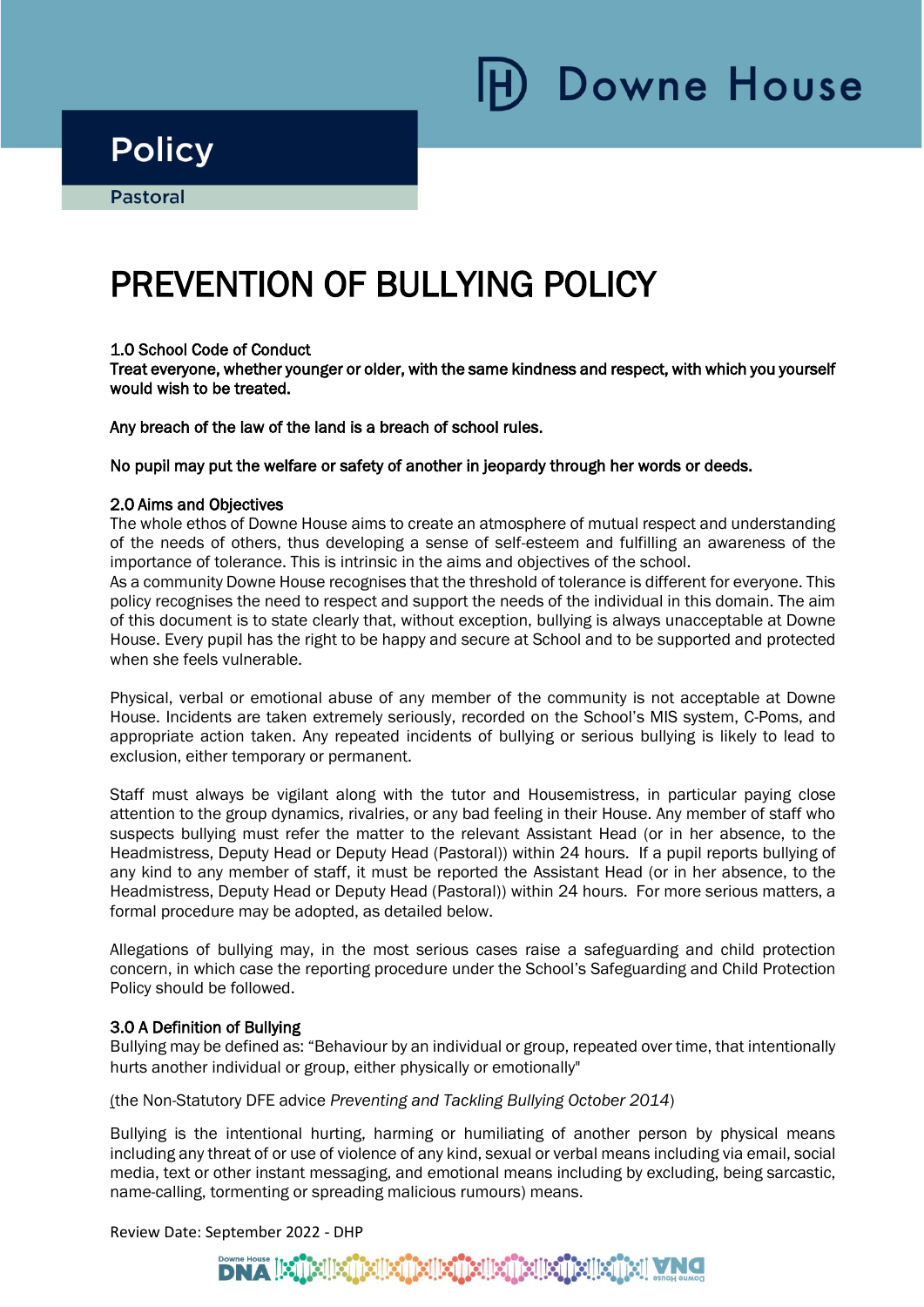Downe House

## **Policy**

i

Ī

# PREVENTION OF BULLYING POLICY

#### 1.0 School Code of Conduct

Treat everyone, whether younger or older, with the same kindness and respect, with which you yourself would wish to be treated.

Any breach of the law of the land is a breach of school rules.

#### No pupil may put the welfare or safety of another in jeopardy through her words or deeds.

#### 2.0 Aims and Objectives

The whole ethos of Downe House aims to create an atmosphere of mutual respect and understanding of the needs of others, thus developing a sense of self-esteem and fulfilling an awareness of the importance of tolerance. This is intrinsic in the aims and objectives of the school.

As a community Downe House recognises that the threshold of tolerance is different for everyone. This policy recognises the need to respect and support the needs of the individual in this domain. The aim of this document is to state clearly that, without exception, bullying is always unacceptable at Downe House. Every pupil has the right to be happy and secure at School and to be supported and protected when she feels vulnerable.

Physical, verbal or emotional abuse of any member of the community is not acceptable at Downe House. Incidents are taken extremely seriously, recorded on the School's MIS system, C-Poms, and appropriate action taken. Any repeated incidents of bullying or serious bullying is likely to lead to exclusion, either temporary or permanent.

Staff must always be vigilant along with the tutor and Housemistress, in particular paying close attention to the group dynamics, rivalries, or any bad feeling in their House. Any member of staff who suspects bullying must refer the matter to the relevant Assistant Head (or in her absence, to the Headmistress, Deputy Head or Deputy Head (Pastoral)) within 24 hours. If a pupil reports bullying of any kind to any member of staff, it must be reported the Assistant Head (or in her absence, to the Headmistress, Deputy Head or Deputy Head (Pastoral)) within 24 hours. For more serious matters, a formal procedure may be adopted, as detailed below.

Allegations of bullying may, in the most serious cases raise a safeguarding and child protection concern, in which case the reporting procedure under the School's Safeguarding and Child Protection Policy should be followed.

#### 3.0 A Definition of Bullying

Bullying may be defined as: "Behaviour by an individual or group, repeated over time, that intentionally hurts another individual or group, either physically or emotionally"

(the Non-Statutory DFE advice *Preventing and Tackling Bullying October 2014*)

Bullying is the intentional hurting, harming or humiliating of another person by physical means including any threat of or use of violence of any kind, sexual or verbal means including via email, social media, text or other instant messaging, and emotional means including by excluding, being sarcastic, name-calling, tormenting or spreading malicious rumours) means.

Review Date: September 2022 - DHP

#### **DNA BUSIBIEN Silent Silent Silving**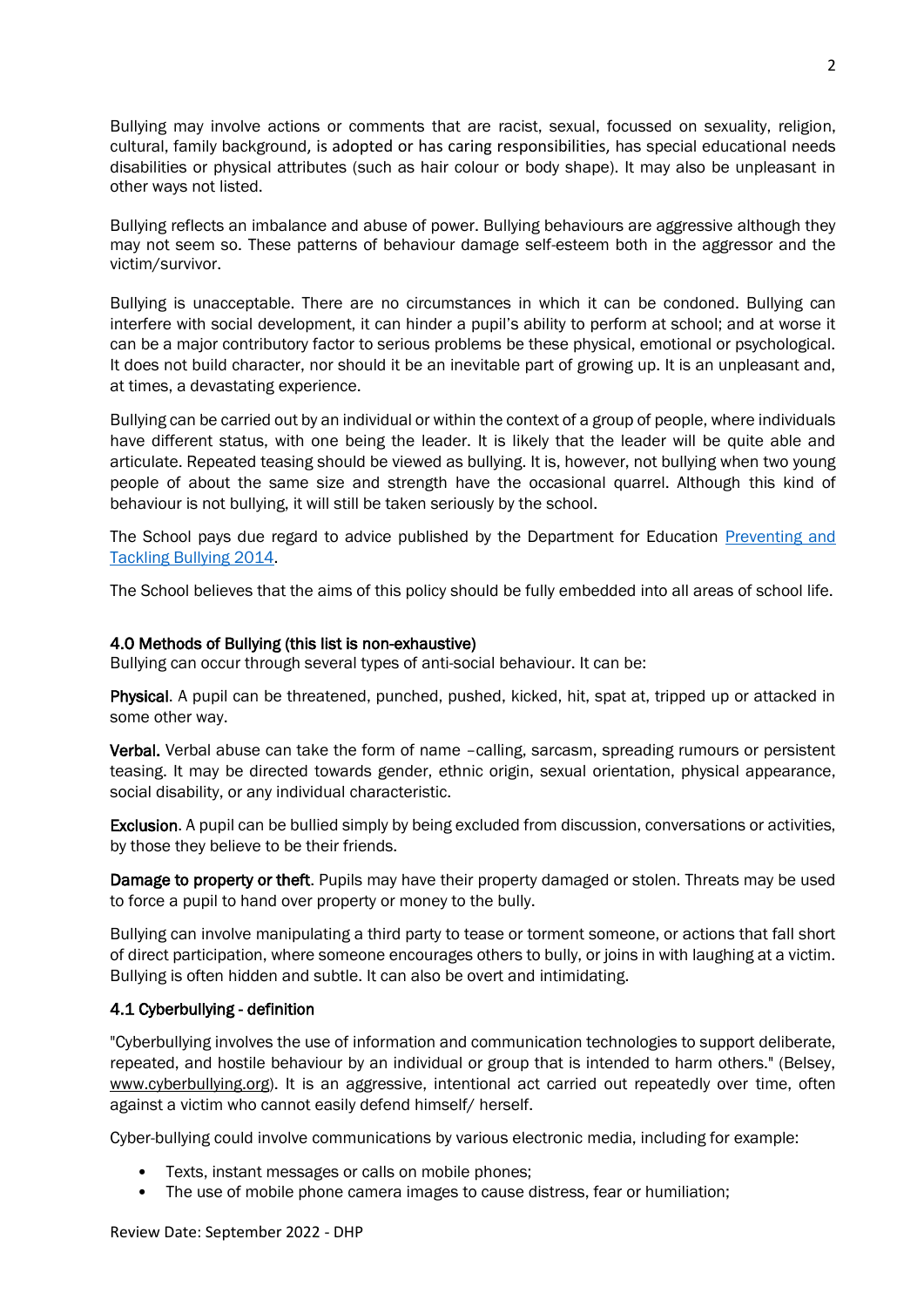Bullying may involve actions or comments that are racist, sexual, focussed on sexuality, religion, cultural, family background, is adopted or has caring responsibilities, has special educational needs disabilities or physical attributes (such as hair colour or body shape). It may also be unpleasant in other ways not listed.

Bullying reflects an imbalance and abuse of power. Bullying behaviours are aggressive although they may not seem so. These patterns of behaviour damage self-esteem both in the aggressor and the victim/survivor.

Bullying is unacceptable. There are no circumstances in which it can be condoned. Bullying can interfere with social development, it can hinder a pupil's ability to perform at school; and at worse it can be a major contributory factor to serious problems be these physical, emotional or psychological. It does not build character, nor should it be an inevitable part of growing up. It is an unpleasant and, at times, a devastating experience.

Bullying can be carried out by an individual or within the context of a group of people, where individuals have different status, with one being the leader. It is likely that the leader will be quite able and articulate. Repeated teasing should be viewed as bullying. It is, however, not bullying when two young people of about the same size and strength have the occasional quarrel. Although this kind of behaviour is not bullying, it will still be taken seriously by the school.

The School pays due regard to advice published by the Department for Education [Preventing and](https://www.gov.uk/government/publications/preventing-and-tackling-bullying)  [Tackling Bullying 2014.](https://www.gov.uk/government/publications/preventing-and-tackling-bullying)

The School believes that the aims of this policy should be fully embedded into all areas of school life.

#### 4.0 Methods of Bullying (this list is non-exhaustive)

Bullying can occur through several types of anti-social behaviour. It can be:

Physical. A pupil can be threatened, punched, pushed, kicked, hit, spat at, tripped up or attacked in some other way.

Verbal. Verbal abuse can take the form of name –calling, sarcasm, spreading rumours or persistent teasing. It may be directed towards gender, ethnic origin, sexual orientation, physical appearance, social disability, or any individual characteristic.

Exclusion. A pupil can be bullied simply by being excluded from discussion, conversations or activities, by those they believe to be their friends.

Damage to property or theft. Pupils may have their property damaged or stolen. Threats may be used to force a pupil to hand over property or money to the bully.

Bullying can involve manipulating a third party to tease or torment someone, or actions that fall short of direct participation, where someone encourages others to bully, or joins in with laughing at a victim. Bullying is often hidden and subtle. It can also be overt and intimidating.

#### 4.1 Cyberbullying - definition

"Cyberbullying involves the use of information and communication technologies to support deliberate, repeated, and hostile behaviour by an individual or group that is intended to harm others." (Belsey, www.cyberbullying.org). It is an aggressive, intentional act carried out repeatedly over time, often against a victim who cannot easily defend himself/ herself.

Cyber-bullying could involve communications by various electronic media, including for example:

- Texts, instant messages or calls on mobile phones;
- The use of mobile phone camera images to cause distress, fear or humiliation;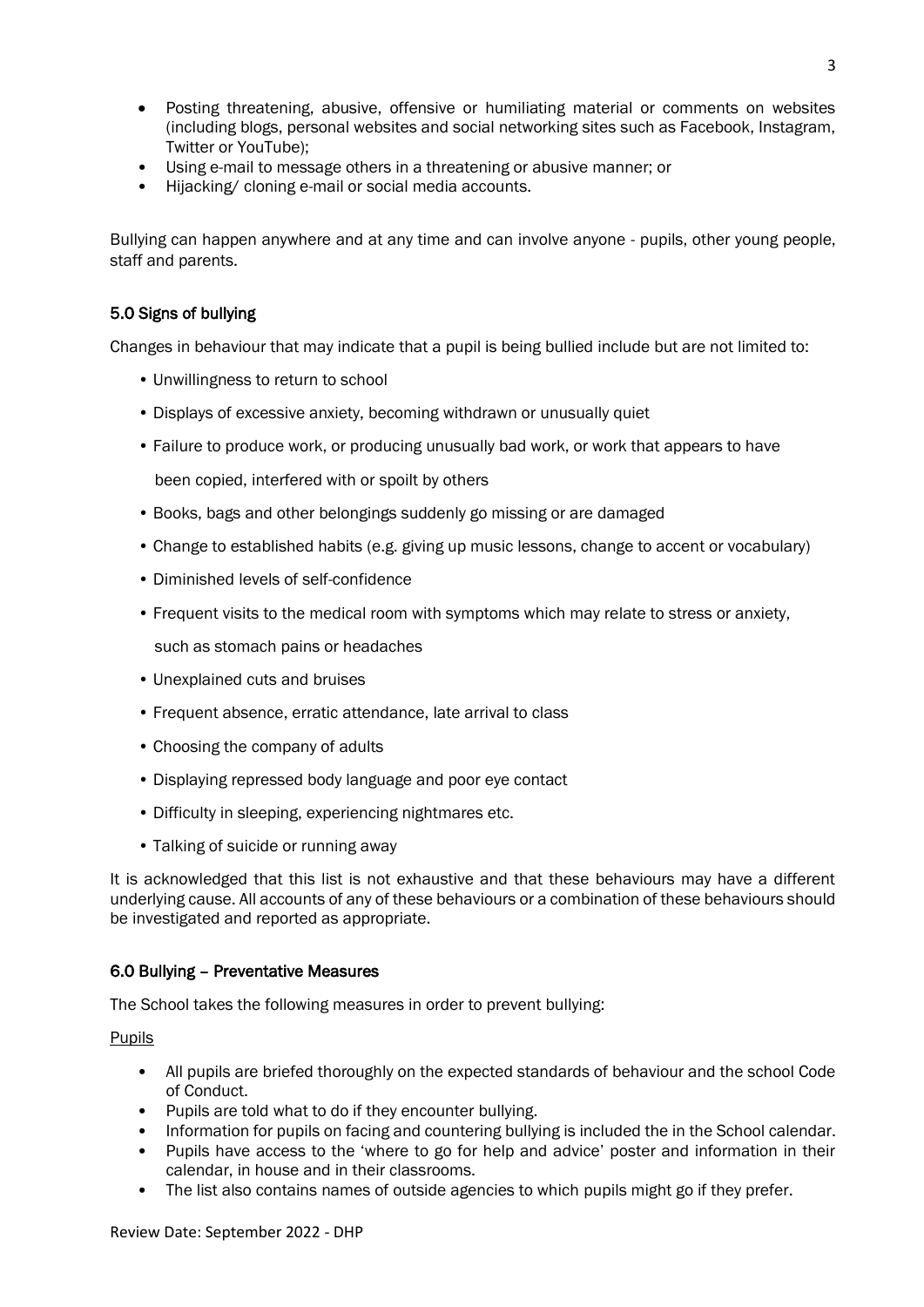- Posting threatening, abusive, offensive or humiliating material or comments on websites (including blogs, personal websites and social networking sites such as Facebook, Instagram, Twitter or YouTube);
- Using e-mail to message others in a threatening or abusive manner; or
- Hijacking/ cloning e-mail or social media accounts.

Bullying can happen anywhere and at any time and can involve anyone - pupils, other young people, staff and parents.

#### 5.0 Signs of bullying

Changes in behaviour that may indicate that a pupil is being bullied include but are not limited to:

- Unwillingness to return to school
- Displays of excessive anxiety, becoming withdrawn or unusually quiet
- Failure to produce work, or producing unusually bad work, or work that appears to have been copied, interfered with or spoilt by others
- Books, bags and other belongings suddenly go missing or are damaged
- Change to established habits (e.g. giving up music lessons, change to accent or vocabulary)
- Diminished levels of self-confidence
- Frequent visits to the medical room with symptoms which may relate to stress or anxiety, such as stomach pains or headaches
- Unexplained cuts and bruises
- Frequent absence, erratic attendance, late arrival to class
- Choosing the company of adults
- Displaying repressed body language and poor eye contact
- Difficulty in sleeping, experiencing nightmares etc.
- Talking of suicide or running away

It is acknowledged that this list is not exhaustive and that these behaviours may have a different underlying cause. All accounts of any of these behaviours or a combination of these behaviours should be investigated and reported as appropriate.

#### 6.0 Bullying – Preventative Measures

The School takes the following measures in order to prevent bullying:

Pupils

- All pupils are briefed thoroughly on the expected standards of behaviour and the school Code of Conduct.
- Pupils are told what to do if they encounter bullying.
- Information for pupils on facing and countering bullying is included the in the School calendar.
- Pupils have access to the 'where to go for help and advice' poster and information in their calendar, in house and in their classrooms.
- The list also contains names of outside agencies to which pupils might go if they prefer.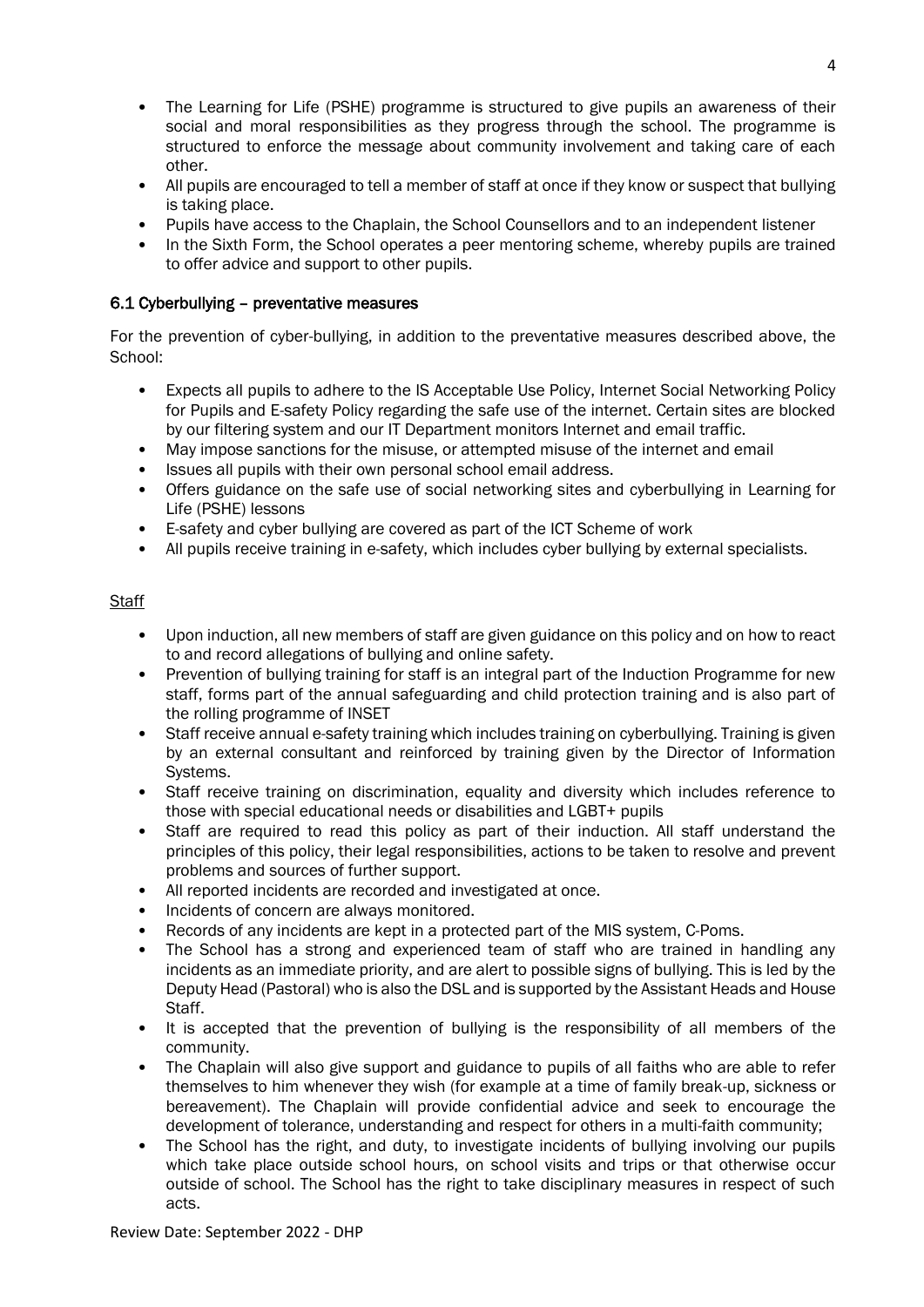- The Learning for Life (PSHE) programme is structured to give pupils an awareness of their social and moral responsibilities as they progress through the school. The programme is structured to enforce the message about community involvement and taking care of each other.
- All pupils are encouraged to tell a member of staff at once if they know or suspect that bullying is taking place.
- Pupils have access to the Chaplain, the School Counsellors and to an independent listener
- In the Sixth Form, the School operates a peer mentoring scheme, whereby pupils are trained to offer advice and support to other pupils.

#### 6.1 Cyberbullying – preventative measures

For the prevention of cyber-bullying, in addition to the preventative measures described above, the School:

- Expects all pupils to adhere to the IS Acceptable Use Policy, Internet Social Networking Policy for Pupils and E-safety Policy regarding the safe use of the internet. Certain sites are blocked by our filtering system and our IT Department monitors Internet and email traffic.
- May impose sanctions for the misuse, or attempted misuse of the internet and email
- Issues all pupils with their own personal school email address.
- Offers guidance on the safe use of social networking sites and cyberbullying in Learning for Life (PSHE) lessons
- E-safety and cyber bullying are covered as part of the ICT Scheme of work
- All pupils receive training in e-safety, which includes cyber bullying by external specialists.

#### **Staff**

- Upon induction, all new members of staff are given guidance on this policy and on how to react to and record allegations of bullying and online safety.
- Prevention of bullying training for staff is an integral part of the Induction Programme for new staff, forms part of the annual safeguarding and child protection training and is also part of the rolling programme of INSET
- Staff receive annual e-safety training which includes training on cyberbullying. Training is given by an external consultant and reinforced by training given by the Director of Information Systems.
- Staff receive training on discrimination, equality and diversity which includes reference to those with special educational needs or disabilities and LGBT+ pupils
- Staff are required to read this policy as part of their induction. All staff understand the principles of this policy, their legal responsibilities, actions to be taken to resolve and prevent problems and sources of further support.
- All reported incidents are recorded and investigated at once.
- Incidents of concern are always monitored.
- Records of any incidents are kept in a protected part of the MIS system, C-Poms.
- The School has a strong and experienced team of staff who are trained in handling any incidents as an immediate priority, and are alert to possible signs of bullying. This is led by the Deputy Head (Pastoral) who is also the DSL and is supported by the Assistant Heads and House Staff.
- It is accepted that the prevention of bullying is the responsibility of all members of the community.
- The Chaplain will also give support and guidance to pupils of all faiths who are able to refer themselves to him whenever they wish (for example at a time of family break-up, sickness or bereavement). The Chaplain will provide confidential advice and seek to encourage the development of tolerance, understanding and respect for others in a multi-faith community;
- The School has the right, and duty, to investigate incidents of bullying involving our pupils which take place outside school hours, on school visits and trips or that otherwise occur outside of school. The School has the right to take disciplinary measures in respect of such acts.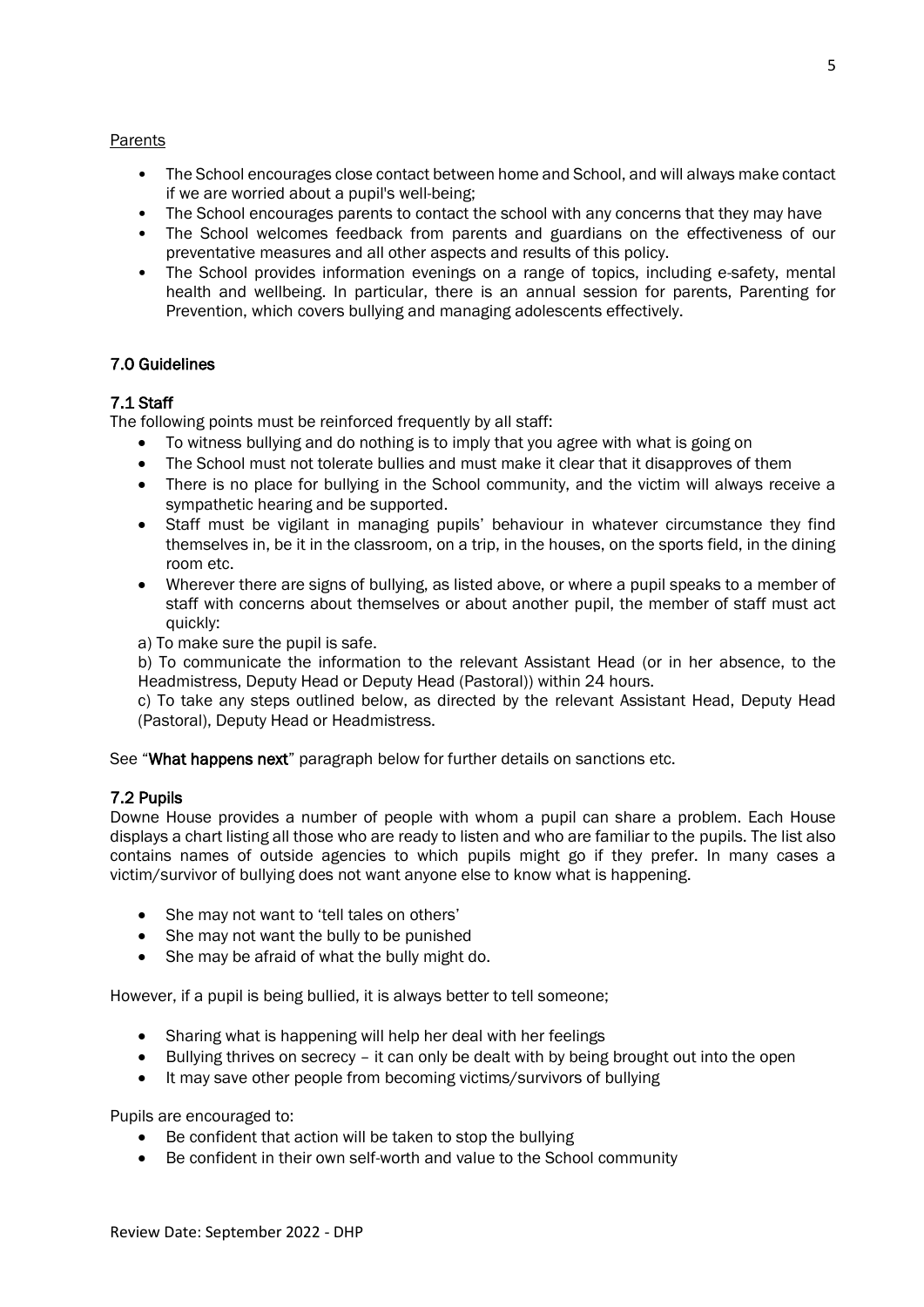#### Parents

- The School encourages close contact between home and School, and will always make contact if we are worried about a pupil's well-being;
- The School encourages parents to contact the school with any concerns that they may have
- The School welcomes feedback from parents and guardians on the effectiveness of our preventative measures and all other aspects and results of this policy.
- The School provides information evenings on a range of topics, including e-safety, mental health and wellbeing. In particular, there is an annual session for parents, Parenting for Prevention, which covers bullying and managing adolescents effectively.

#### 7.0 Guidelines

#### 7.1 Staff

The following points must be reinforced frequently by all staff:

- To witness bullying and do nothing is to imply that you agree with what is going on
- The School must not tolerate bullies and must make it clear that it disapproves of them
- There is no place for bullying in the School community, and the victim will always receive a sympathetic hearing and be supported.
- Staff must be vigilant in managing pupils' behaviour in whatever circumstance they find themselves in, be it in the classroom, on a trip, in the houses, on the sports field, in the dining room etc.
- Wherever there are signs of bullying, as listed above, or where a pupil speaks to a member of staff with concerns about themselves or about another pupil, the member of staff must act quickly:
- a) To make sure the pupil is safe.

b) To communicate the information to the relevant Assistant Head (or in her absence, to the Headmistress, Deputy Head or Deputy Head (Pastoral)) within 24 hours.

c) To take any steps outlined below, as directed by the relevant Assistant Head, Deputy Head (Pastoral), Deputy Head or Headmistress.

See "What happens next" paragraph below for further details on sanctions etc.

#### 7.2 Pupils

Downe House provides a number of people with whom a pupil can share a problem. Each House displays a chart listing all those who are ready to listen and who are familiar to the pupils. The list also contains names of outside agencies to which pupils might go if they prefer. In many cases a victim/survivor of bullying does not want anyone else to know what is happening.

- She may not want to 'tell tales on others'
- She may not want the bully to be punished
- She may be afraid of what the bully might do.

However, if a pupil is being bullied, it is always better to tell someone;

- Sharing what is happening will help her deal with her feelings
- Bullying thrives on secrecy it can only be dealt with by being brought out into the open
- It may save other people from becoming victims/survivors of bullying

Pupils are encouraged to:

- Be confident that action will be taken to stop the bullying
- Be confident in their own self-worth and value to the School community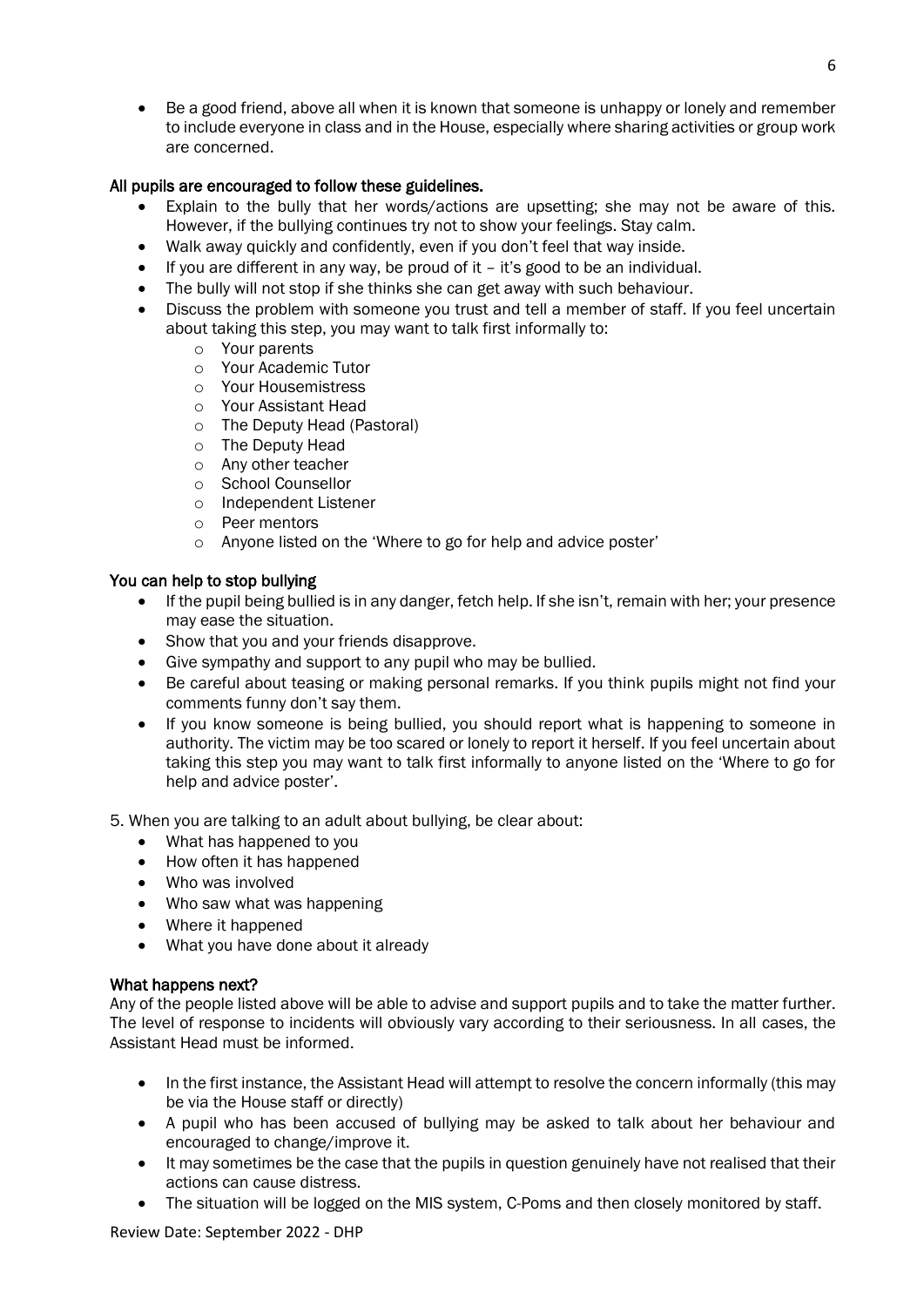• Be a good friend, above all when it is known that someone is unhappy or lonely and remember to include everyone in class and in the House, especially where sharing activities or group work are concerned.

#### All pupils are encouraged to follow these guidelines.

- Explain to the bully that her words/actions are upsetting; she may not be aware of this. However, if the bullying continues try not to show your feelings. Stay calm.
- Walk away quickly and confidently, even if you don't feel that way inside.
- If you are different in any way, be proud of it it's good to be an individual.
- The bully will not stop if she thinks she can get away with such behaviour.
- Discuss the problem with someone you trust and tell a member of staff. If you feel uncertain about taking this step, you may want to talk first informally to:
	- o Your parents
	- o Your Academic Tutor
	- o Your Housemistress
	- o Your Assistant Head
	- o The Deputy Head (Pastoral)
	- o The Deputy Head
	- o Any other teacher
	- o School Counsellor
	- o Independent Listener
	- o Peer mentors
	- o Anyone listed on the 'Where to go for help and advice poster'

#### You can help to stop bullying

- If the pupil being bullied is in any danger, fetch help. If she isn't, remain with her; your presence may ease the situation.
- Show that you and your friends disapprove.
- Give sympathy and support to any pupil who may be bullied.
- Be careful about teasing or making personal remarks. If you think pupils might not find your comments funny don't say them.
- If you know someone is being bullied, you should report what is happening to someone in authority. The victim may be too scared or lonely to report it herself. If you feel uncertain about taking this step you may want to talk first informally to anyone listed on the 'Where to go for help and advice poster'.

5. When you are talking to an adult about bullying, be clear about:

- What has happened to you
- How often it has happened
- Who was involved
- Who saw what was happening
- Where it happened
- What you have done about it already

#### What happens next?

Any of the people listed above will be able to advise and support pupils and to take the matter further. The level of response to incidents will obviously vary according to their seriousness. In all cases, the Assistant Head must be informed.

- In the first instance, the Assistant Head will attempt to resolve the concern informally (this may be via the House staff or directly)
- A pupil who has been accused of bullying may be asked to talk about her behaviour and encouraged to change/improve it.
- It may sometimes be the case that the pupils in question genuinely have not realised that their actions can cause distress.
- The situation will be logged on the MIS system, C-Poms and then closely monitored by staff.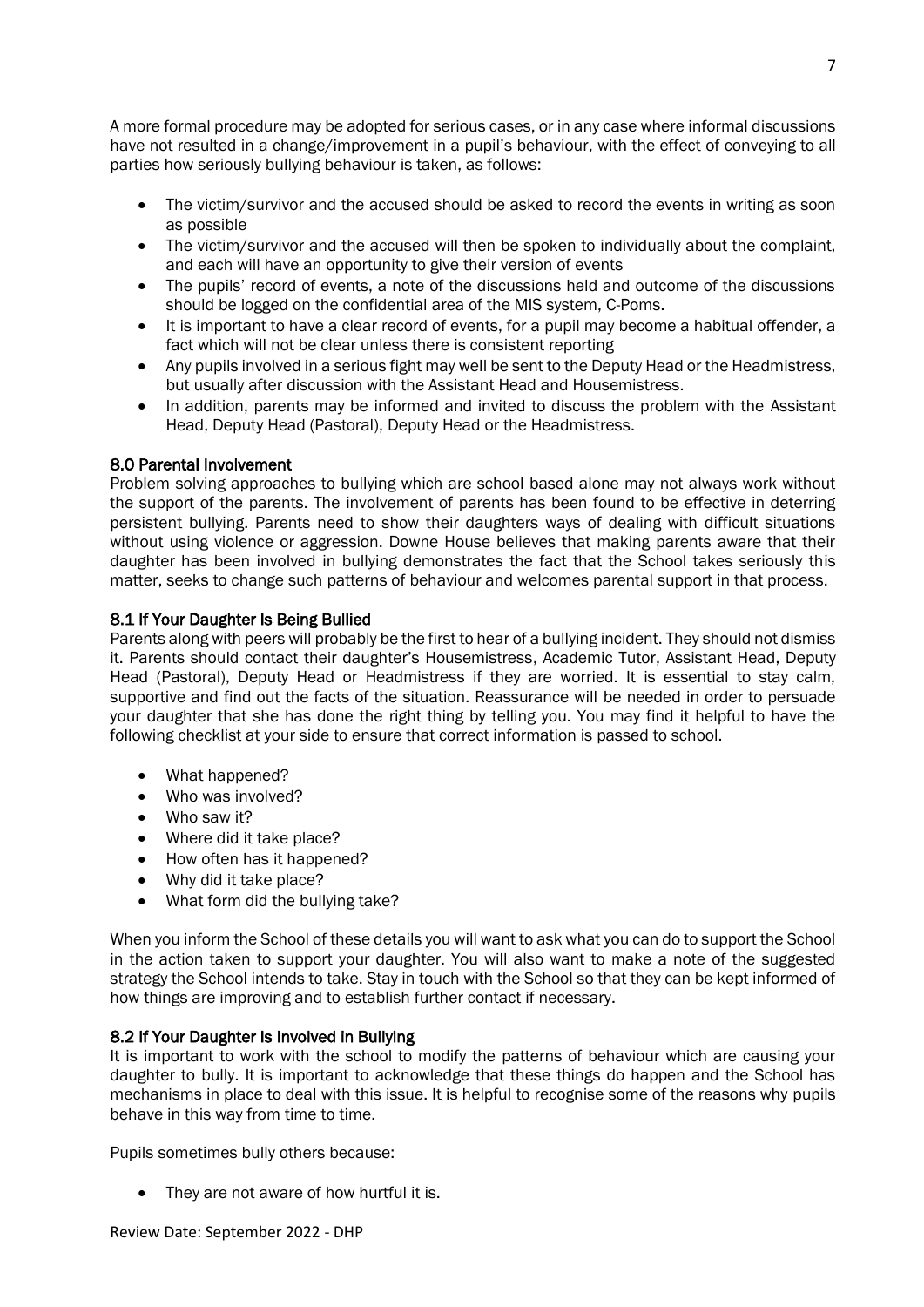A more formal procedure may be adopted for serious cases, or in any case where informal discussions have not resulted in a change/improvement in a pupil's behaviour, with the effect of conveying to all parties how seriously bullying behaviour is taken, as follows:

- The victim/survivor and the accused should be asked to record the events in writing as soon as possible
- The victim/survivor and the accused will then be spoken to individually about the complaint, and each will have an opportunity to give their version of events
- The pupils' record of events, a note of the discussions held and outcome of the discussions should be logged on the confidential area of the MIS system, C-Poms.
- It is important to have a clear record of events, for a pupil may become a habitual offender, a fact which will not be clear unless there is consistent reporting
- Any pupils involved in a serious fight may well be sent to the Deputy Head or the Headmistress, but usually after discussion with the Assistant Head and Housemistress.
- In addition, parents may be informed and invited to discuss the problem with the Assistant Head, Deputy Head (Pastoral), Deputy Head or the Headmistress.

#### 8.0 Parental Involvement

Problem solving approaches to bullying which are school based alone may not always work without the support of the parents. The involvement of parents has been found to be effective in deterring persistent bullying. Parents need to show their daughters ways of dealing with difficult situations without using violence or aggression. Downe House believes that making parents aware that their daughter has been involved in bullying demonstrates the fact that the School takes seriously this matter, seeks to change such patterns of behaviour and welcomes parental support in that process.

#### 8.1 If Your Daughter Is Being Bullied

Parents along with peers will probably be the first to hear of a bullying incident. They should not dismiss it. Parents should contact their daughter's Housemistress, Academic Tutor, Assistant Head, Deputy Head (Pastoral), Deputy Head or Headmistress if they are worried. It is essential to stay calm, supportive and find out the facts of the situation. Reassurance will be needed in order to persuade your daughter that she has done the right thing by telling you. You may find it helpful to have the following checklist at your side to ensure that correct information is passed to school.

- What happened?
- Who was involved?
- Who saw it?
- Where did it take place?
- How often has it happened?
- Why did it take place?
- What form did the bullying take?

When you inform the School of these details you will want to ask what you can do to support the School in the action taken to support your daughter. You will also want to make a note of the suggested strategy the School intends to take. Stay in touch with the School so that they can be kept informed of how things are improving and to establish further contact if necessary.

#### 8.2 If Your Daughter Is Involved in Bullying

It is important to work with the school to modify the patterns of behaviour which are causing your daughter to bully. It is important to acknowledge that these things do happen and the School has mechanisms in place to deal with this issue. It is helpful to recognise some of the reasons why pupils behave in this way from time to time.

Pupils sometimes bully others because:

• They are not aware of how hurtful it is.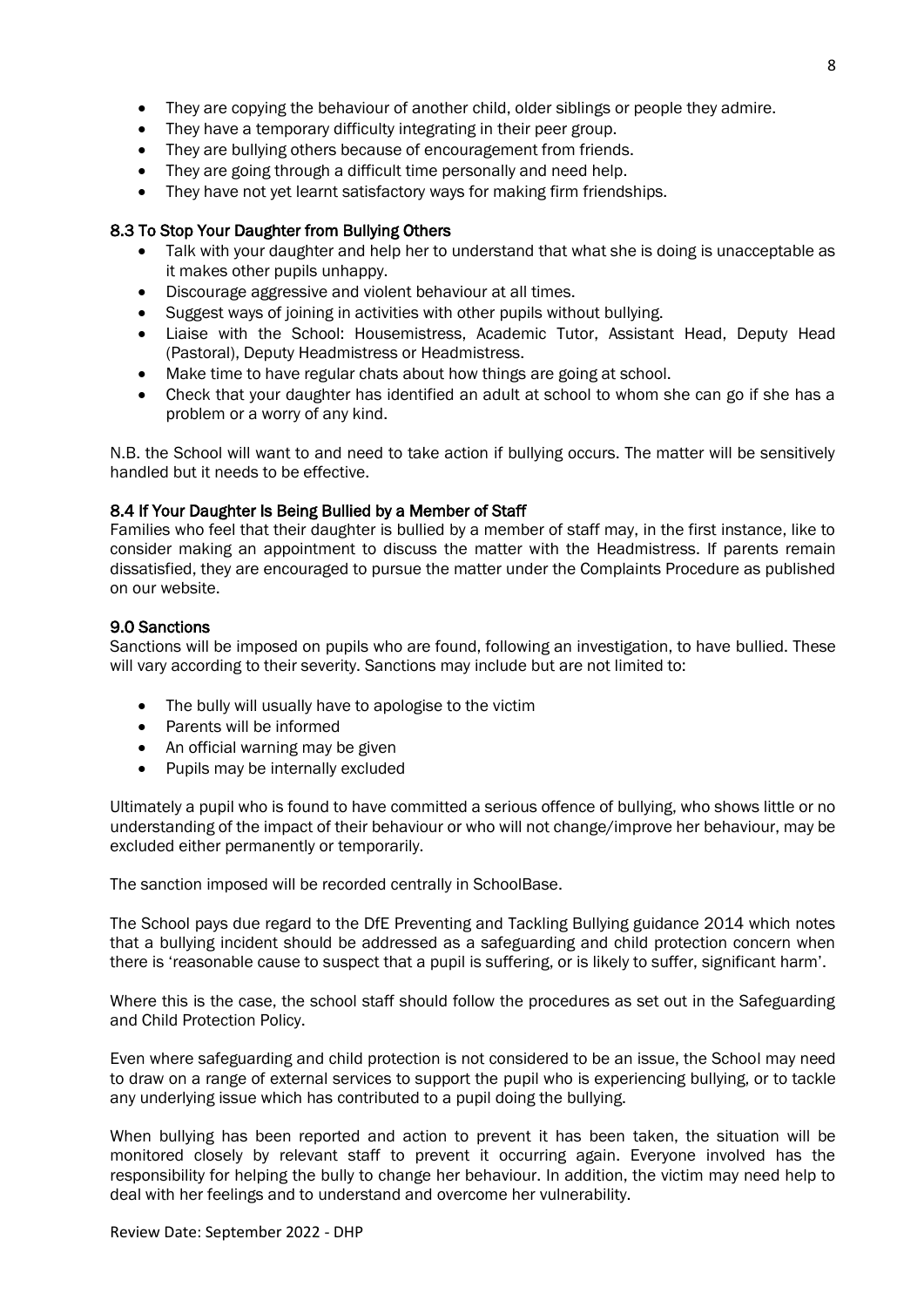- They are copying the behaviour of another child, older siblings or people they admire.
- They have a temporary difficulty integrating in their peer group.
- They are bullying others because of encouragement from friends.
- They are going through a difficult time personally and need help.
- They have not yet learnt satisfactory ways for making firm friendships.

#### 8.3 To Stop Your Daughter from Bullying Others

- Talk with your daughter and help her to understand that what she is doing is unacceptable as it makes other pupils unhappy.
- Discourage aggressive and violent behaviour at all times.
- Suggest ways of joining in activities with other pupils without bullying.
- Liaise with the School: Housemistress, Academic Tutor, Assistant Head, Deputy Head (Pastoral), Deputy Headmistress or Headmistress.
- Make time to have regular chats about how things are going at school.
- Check that your daughter has identified an adult at school to whom she can go if she has a problem or a worry of any kind.

N.B. the School will want to and need to take action if bullying occurs. The matter will be sensitively handled but it needs to be effective.

### 8.4 If Your Daughter Is Being Bullied by a Member of Staff

Families who feel that their daughter is bullied by a member of staff may, in the first instance, like to consider making an appointment to discuss the matter with the Headmistress. If parents remain dissatisfied, they are encouraged to pursue the matter under the Complaints Procedure as published on our website.

#### 9.0 Sanctions

Sanctions will be imposed on pupils who are found, following an investigation, to have bullied. These will vary according to their severity. Sanctions may include but are not limited to:

- The bully will usually have to apologise to the victim
- Parents will be informed
- An official warning may be given
- Pupils may be internally excluded

Ultimately a pupil who is found to have committed a serious offence of bullying, who shows little or no understanding of the impact of their behaviour or who will not change/improve her behaviour, may be excluded either permanently or temporarily.

The sanction imposed will be recorded centrally in SchoolBase.

The School pays due regard to the DfE Preventing and Tackling Bullying guidance 2014 which notes that a bullying incident should be addressed as a safeguarding and child protection concern when there is 'reasonable cause to suspect that a pupil is suffering, or is likely to suffer, significant harm'.

Where this is the case, the school staff should follow the procedures as set out in the Safeguarding and Child Protection Policy.

Even where safeguarding and child protection is not considered to be an issue, the School may need to draw on a range of external services to support the pupil who is experiencing bullying, or to tackle any underlying issue which has contributed to a pupil doing the bullying.

When bullying has been reported and action to prevent it has been taken, the situation will be monitored closely by relevant staff to prevent it occurring again. Everyone involved has the responsibility for helping the bully to change her behaviour. In addition, the victim may need help to deal with her feelings and to understand and overcome her vulnerability.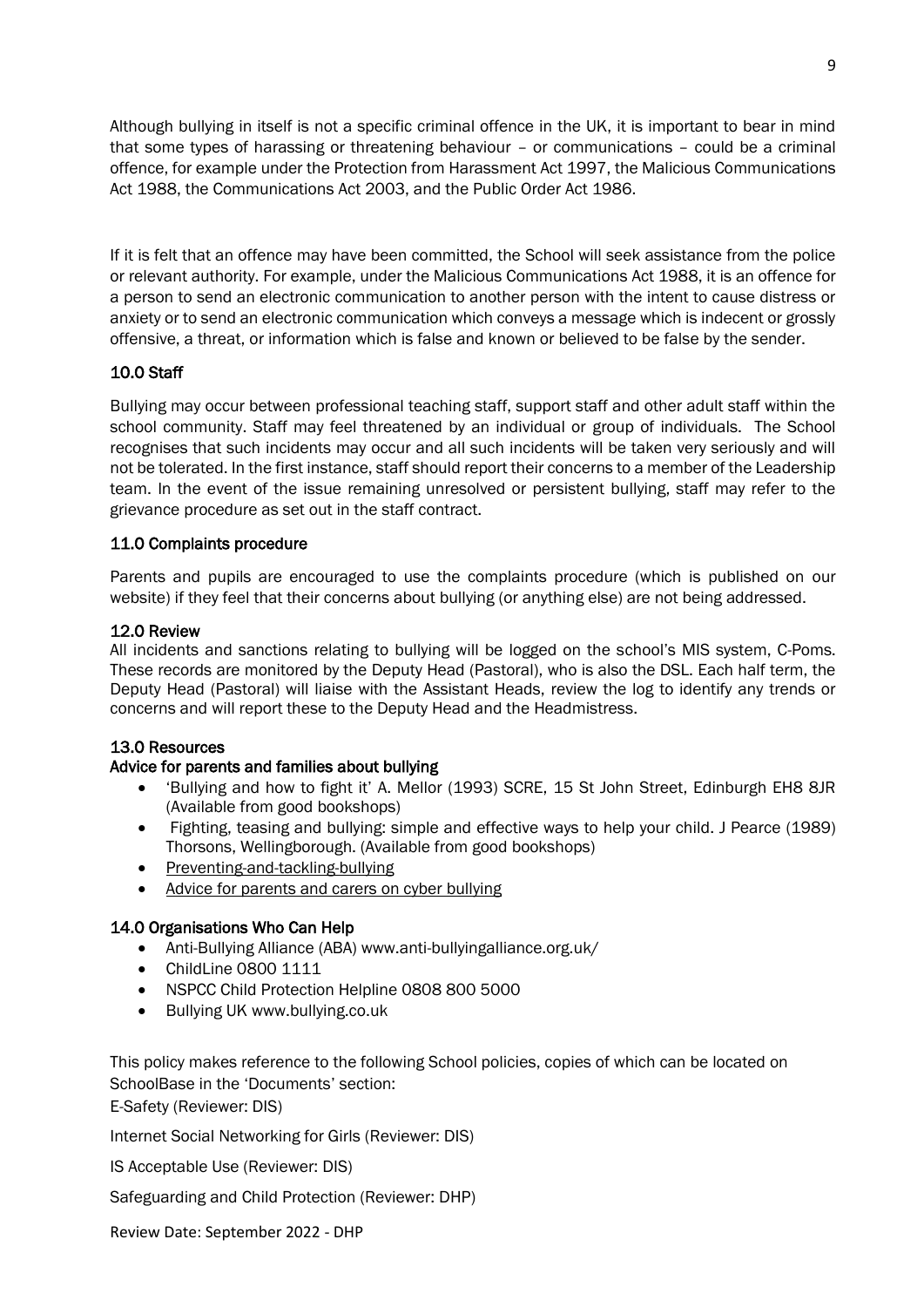Although bullying in itself is not a specific criminal offence in the UK, it is important to bear in mind that some types of harassing or threatening behaviour – or communications – could be a criminal offence, for example under the Protection from Harassment Act 1997, the Malicious Communications Act 1988, the Communications Act 2003, and the Public Order Act 1986.

If it is felt that an offence may have been committed, the School will seek assistance from the police or relevant authority. For example, under the Malicious Communications Act 1988, it is an offence for a person to send an electronic communication to another person with the intent to cause distress or anxiety or to send an electronic communication which conveys a message which is indecent or grossly offensive, a threat, or information which is false and known or believed to be false by the sender.

#### 10.0 Staff

Bullying may occur between professional teaching staff, support staff and other adult staff within the school community. Staff may feel threatened by an individual or group of individuals. The School recognises that such incidents may occur and all such incidents will be taken very seriously and will not be tolerated. In the first instance, staff should report their concerns to a member of the Leadership team. In the event of the issue remaining unresolved or persistent bullying, staff may refer to the grievance procedure as set out in the staff contract.

#### 11.0 Complaints procedure

Parents and pupils are encouraged to use the complaints procedure (which is published on our website) if they feel that their concerns about bullying (or anything else) are not being addressed.

#### 12.0 Review

All incidents and sanctions relating to bullying will be logged on the school's MIS system, C-Poms. These records are monitored by the Deputy Head (Pastoral), who is also the DSL. Each half term, the Deputy Head (Pastoral) will liaise with the Assistant Heads, review the log to identify any trends or concerns and will report these to the Deputy Head and the Headmistress.

#### 13.0 Resources

#### Advice for parents and families about bullying

- 'Bullying and how to fight it' A. Mellor (1993) SCRE, 15 St John Street, Edinburgh EH8 8JR (Available from good bookshops)
- Fighting, teasing and bullying: simple and effective ways to help your child. J Pearce (1989) Thorsons, Wellingborough. (Available from good bookshops)
- [Preventing-and-tackling-bullying](http://education.gov.uk/aboutdfe/advice/f0076899/preventing-and-tackling-bullying/what-does-the-law-say-and-what-do-i-have-to-do)
- [Advice for parents and carers on cyber bullying](http://education.gov.uk/aboutdfe/advice/f0076899/preventing-and-tackling-bullying/what-does-the-law-say-and-what-do-i-have-to-do)

#### 14.0 Organisations Who Can Help

- Anti-Bullying Alliance (ABA) www.anti-bullyingalliance.org.uk/
- ChildLine 0800 1111
- NSPCC Child Protection Helpline 0808 800 5000
- Bullying UK www.bullying.co.uk

This policy makes reference to the following School policies, copies of which can be located on SchoolBase in the 'Documents' section: E-Safety (Reviewer: DIS)

Internet Social Networking for Girls (Reviewer: DIS)

IS Acceptable Use (Reviewer: DIS)

Safeguarding and Child Protection (Reviewer: DHP)

Review Date: September 2022 - DHP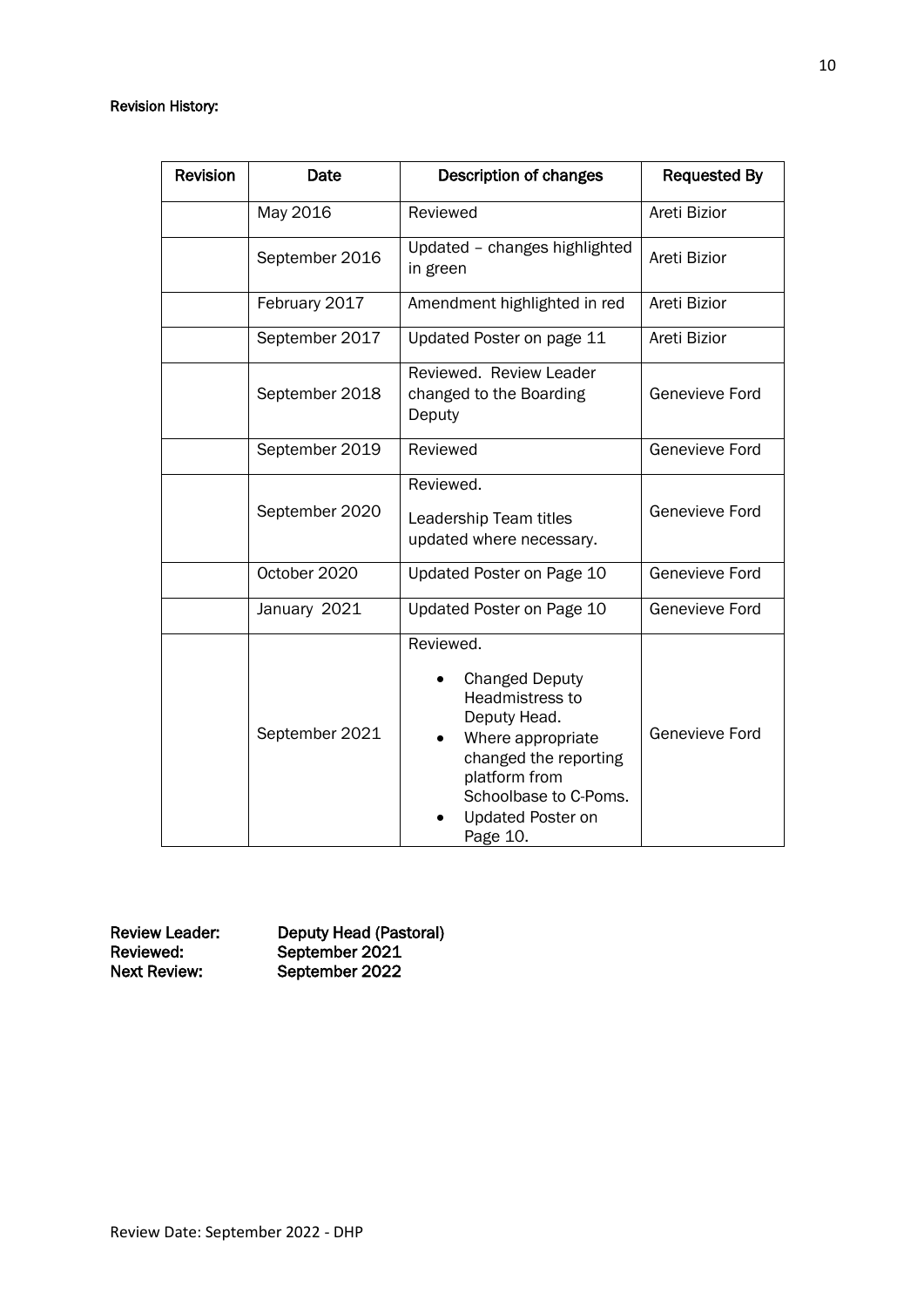#### Revision History:

| <b>Revision</b> | Date           | <b>Description of changes</b>                                                                                                                                                                  | <b>Requested By</b> |
|-----------------|----------------|------------------------------------------------------------------------------------------------------------------------------------------------------------------------------------------------|---------------------|
|                 | May 2016       | Reviewed                                                                                                                                                                                       | Areti Bizior        |
|                 | September 2016 | Updated - changes highlighted<br>in green                                                                                                                                                      | Areti Bizior        |
|                 | February 2017  | Amendment highlighted in red                                                                                                                                                                   | Areti Bizior        |
|                 | September 2017 | Updated Poster on page 11                                                                                                                                                                      | Areti Bizior        |
|                 | September 2018 | Reviewed. Review Leader<br>changed to the Boarding<br>Deputy                                                                                                                                   | Genevieve Ford      |
|                 | September 2019 | Reviewed                                                                                                                                                                                       | Genevieve Ford      |
|                 | September 2020 | Reviewed.<br>Leadership Team titles<br>updated where necessary.                                                                                                                                | Genevieve Ford      |
|                 | October 2020   | Updated Poster on Page 10                                                                                                                                                                      | Genevieve Ford      |
|                 | January 2021   | Updated Poster on Page 10                                                                                                                                                                      | Genevieve Ford      |
|                 | September 2021 | Reviewed.<br><b>Changed Deputy</b><br>Headmistress to<br>Deputy Head.<br>Where appropriate<br>changed the reporting<br>platform from<br>Schoolbase to C-Poms.<br>Updated Poster on<br>Page 10. | Genevieve Ford      |

Review Leader: Deputy Head (Pastoral) Reviewed: September 2021 Next Review: September 2022